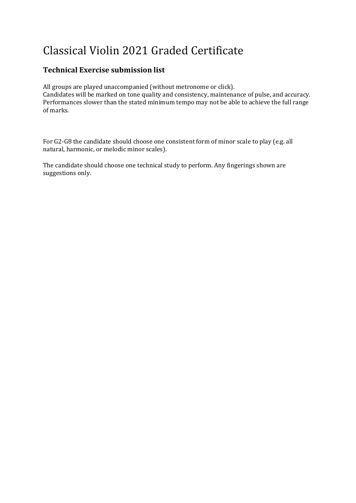# Classical Violin 2021 Graded Certificate

# **Technical Exercise submission list**

All groups are played unaccompanied (without metronome or click). Candidates will be marked on tone quality and consistency, maintenance of pulse, and accuracy. Performances slower than the stated minimum tempo may not be able to achieve the full range of marks.

For G2-G8 the candidate should choose one consistent form of minor scale to play (e.g. all natural, harmonic, or melodic minor scales).

The candidate should choose one technical study to perform. Any fingerings shown are suggestions only.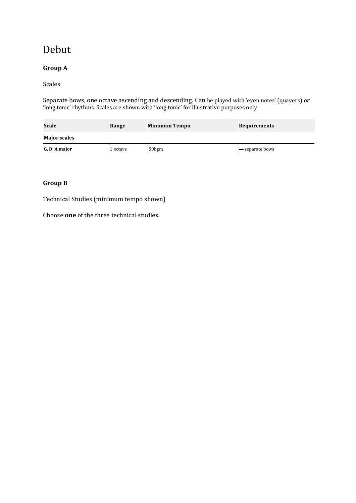# Debut

# **Group A**

#### Scales

Separate bows, one octave ascending and descending. Can be played with 'even notes' (quavers) *or*  'long tonic' rhythms. Scales are shown with 'long tonic' for illustrative purposes only.

| Scale<br>Range      |          | <b>Minimum Tempo</b> | <b>Requirements</b> |
|---------------------|----------|----------------------|---------------------|
| <b>Major scales</b> |          |                      |                     |
| G, D, A major       | 1 octave | 50bpm                | - separate bows     |

### **Group B**

Technical Studies (minimum tempo shown)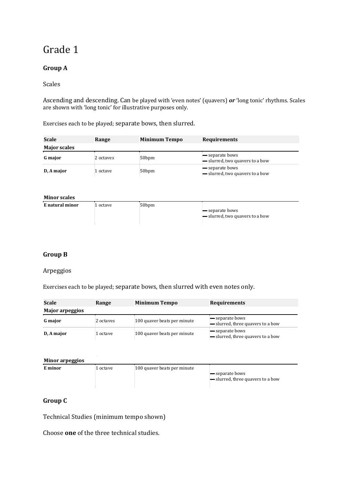# **Group A**

#### Scales

Ascending and descending. Can be played with 'even notes' (quavers) *or* 'long tonic' rhythms. Scales are shown with 'long tonic' for illustrative purposes only.

Exercises each to be played; separate bows, then slurred.

| Scale               | Range     | <b>Minimum Tempo</b> | <b>Requirements</b>                              |
|---------------------|-----------|----------------------|--------------------------------------------------|
| <b>Major scales</b> |           |                      |                                                  |
| <b>G</b> major      | 2 octaves | 50 <sub>bpm</sub>    | separate bows<br>- slurred, two quavers to a bow |
| D, A major          | 1 octave  | 50 <sub>bpm</sub>    | separate bows<br>- slurred, two quavers to a bow |

| <b>Minor scales</b> |          |                   |                                                    |
|---------------------|----------|-------------------|----------------------------------------------------|
| E natural minor     | 1 octave | 50 <sub>bpm</sub> | — separate bows<br>- slurred, two quavers to a bow |

# **Group B**

#### Arpeggios

Exercises each to be played; separate bows, then slurred with even notes only.

| Scale                  | Range     | <b>Minimum Tempo</b>        | <b>Requirements</b>                                |
|------------------------|-----------|-----------------------------|----------------------------------------------------|
| <b>Major arpeggios</b> |           |                             |                                                    |
| <b>G</b> major         | 2 octaves | 100 quaver beats per minute | separate bows<br>- slurred, three quavers to a bow |
| D, A major             | 1 octave  | 100 quaver beats per minute | separate bows<br>- slurred, three quavers to a bow |

| Minor arpeggios |          |                             |                                                    |
|-----------------|----------|-----------------------------|----------------------------------------------------|
| E minor         | 1 octave | 100 quaver beats per minute | separate bows<br>- slurred, three quavers to a bow |

### **Group C**

Technical Studies (minimum tempo shown)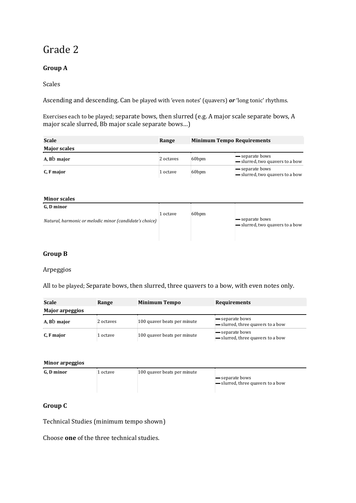# **Group A**

### Scales

Ascending and descending. Can be played with 'even notes' (quavers) *or* 'long tonic' rhythms.

Exercises each to be played; separate bows, then slurred (e.g. A major scale separate bows, A major scale slurred, Bb major scale separate bows…)

| Scale               | Range     | <b>Minimum Tempo Requirements</b> |                                                                    |
|---------------------|-----------|-----------------------------------|--------------------------------------------------------------------|
| <b>Major scales</b> |           |                                   |                                                                    |
| A, Bb major         | 2 octaves | 60 <sub>bpm</sub>                 | lacktriangleright separate bows<br>- slurred, two quavers to a bow |
| C. F major          | 1 octave  | 60 <sub>bpm</sub>                 | — separate bows<br>- slurred, two quavers to a bow                 |

#### **Minor scales**

| G. D minor                                              |          |                   |                                 |
|---------------------------------------------------------|----------|-------------------|---------------------------------|
| Natural, harmonic or melodic minor (candidate's choice) | 1 octave | 60 <sub>bpm</sub> | — separate bows                 |
|                                                         |          |                   | - slurred, two quavers to a bow |
|                                                         |          |                   |                                 |

## **Group B**

#### Arpeggios

All to be played; Separate bows, then slurred, three quavers to a bow, with even notes only.

| Scale           | Range     | <b>Minimum Tempo</b>        | <b>Requirements</b>                                  |
|-----------------|-----------|-----------------------------|------------------------------------------------------|
| Major arpeggios |           |                             |                                                      |
| A, Bb major     | 2 octaves | 100 quaver beats per minute | — separate bows<br>- slurred, three quavers to a bow |
| C, F major      | 1 octave  | 100 quaver beats per minute | — separate bows<br>- slurred, three quavers to a bow |

#### **Minor arpeggios**

| G. D minor | 1 octave | 100 quaver beats per minute |                                                           |
|------------|----------|-----------------------------|-----------------------------------------------------------|
|            |          |                             | separate bows<br>$\equiv$ slurred, three quavers to a bow |

### **Group C**

Technical Studies (minimum tempo shown)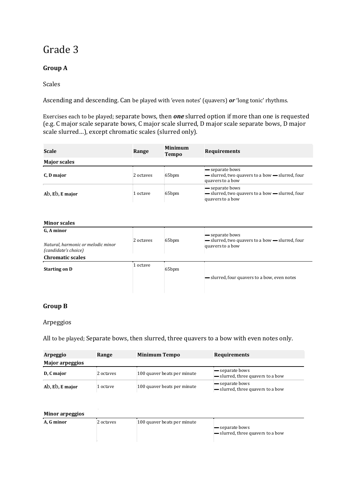# **Group A**

### Scales

Ascending and descending. Can be played with 'even notes' (quavers) *or* 'long tonic' rhythms.

Exercises each to be played; separate bows, then *one* slurred option if more than one is requested (e.g. C major scale separate bows, C major scale slurred, D major scale separate bows, D major scale slurred…), except chromatic scales (slurred only).

| Scale               | Range     | <b>Minimum</b><br><b>Tempo</b> | <b>Requirements</b>                                                                    |
|---------------------|-----------|--------------------------------|----------------------------------------------------------------------------------------|
| <b>Major scales</b> |           |                                |                                                                                        |
| C. D major          | 2 octaves | 65 <sub>bpm</sub>              | — separate bows<br>- slurred, two quavers to a bow - slurred, four<br>quavers to a bow |
| Ab, Eb, E major     | 1 octave  | 65 <sub>bpm</sub>              | - separate bows<br>- slurred, two quavers to a bow - slurred, four<br>quavers to a bow |

#### **Minor scales**

| G. A minor<br>Natural, harmonic or melodic minor<br>(candidate's choice) | 2 octaves | 65bpm             | - separate bows<br>- slurred, two quavers to a bow - slurred, four<br>quavers to a bow |
|--------------------------------------------------------------------------|-----------|-------------------|----------------------------------------------------------------------------------------|
| <b>Chromatic scales</b>                                                  |           |                   |                                                                                        |
| <b>Starting on D</b>                                                     | 1 octave  | 65 <sub>bpm</sub> |                                                                                        |
|                                                                          |           |                   | - slurred, four quavers to a bow, even notes                                           |
|                                                                          |           |                   |                                                                                        |

## **Group B**

#### Arpeggios

All to be played; Separate bows, then slurred, three quavers to a bow with even notes only.

| Arpeggio               | Range     | <b>Minimum Tempo</b>        | <b>Requirements</b>                                  |
|------------------------|-----------|-----------------------------|------------------------------------------------------|
| <b>Major arpeggios</b> |           |                             |                                                      |
| D, C major             | 2 octaves | 100 quaver beats per minute | separate bows<br>- slurred, three quavers to a bow   |
| Ab, Eb, E major        | l octave  | 100 quaver beats per minute | — separate bows<br>- slurred, three quavers to a bow |

#### **Minor arpeggios**

| A. G minor | 2 octaves | 100 quaver beats per minute |                                                             |
|------------|-----------|-----------------------------|-------------------------------------------------------------|
|            |           |                             | $\equiv$ separate bows<br>- slurred, three quavers to a bow |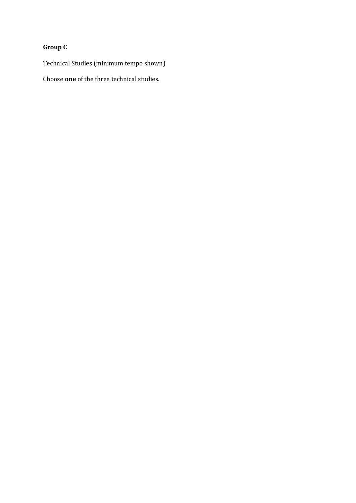# **Group C**

Technical Studies (minimum tempo shown)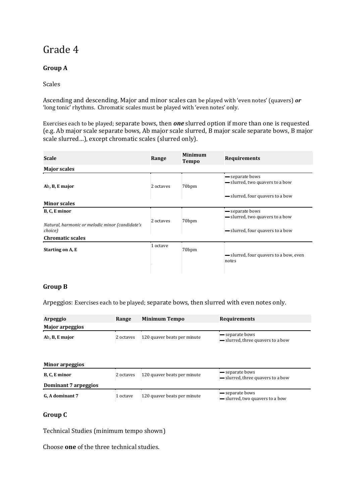# **Group A**

### Scales

Ascending and descending. Major and minor scales can be played with 'even notes' (quavers) *or*  'long tonic' rhythms. Chromatic scales must be played with 'even notes' only.

Exercises each to be played; separate bows, then *one* slurred option if more than one is requested (e.g. Ab major scale separate bows, Ab major scale slurred, B major scale separate bows, B major scale slurred…), except chromatic scales (slurred only).

| Scale                                                      | Range     | <b>Minimum</b><br><b>Tempo</b> | <b>Requirements</b>                                |
|------------------------------------------------------------|-----------|--------------------------------|----------------------------------------------------|
| <b>Major scales</b>                                        |           |                                |                                                    |
| Ab, B, E major                                             | 2 octaves | 70 <sub>bpm</sub>              | - separate bows<br>- slurred, two quavers to a bow |
|                                                            |           |                                | - slurred, four quavers to a bow                   |
| <b>Minor scales</b>                                        |           |                                |                                                    |
| B, C, E minor                                              | 2 octaves | 70 <sub>bpm</sub>              | separate bows<br>- slurred, two quavers to a bow   |
| Natural, harmonic or melodic minor (candidate's<br>choice) |           |                                | - slurred, four quavers to a bow                   |
| <b>Chromatic scales</b>                                    |           |                                |                                                    |
| Starting on A, E                                           | 1 octave  | 70 <sub>bpm</sub>              | - slurred, four quavers to a bow, even<br>notes    |
|                                                            |           |                                |                                                    |

### **Group B**

Arpeggios: Exercises each to be played; separate bows, then slurred with even notes only.

| Arpeggio        | Range     | <b>Minimum Tempo</b>        | <b>Requirements</b>                                         |
|-----------------|-----------|-----------------------------|-------------------------------------------------------------|
| Major arpeggios |           |                             |                                                             |
| Ab, B, E major  | 2 octaves | 120 quaver beats per minute | <b>—</b> separate bows<br>- slurred, three quavers to a bow |

| Minor arpeggios      |           |                             |                                                                 |  |  |
|----------------------|-----------|-----------------------------|-----------------------------------------------------------------|--|--|
| B, C, E minor        | 2 octaves | 120 quaver beats per minute | <del>—</del> separate bows<br>- slurred, three quavers to a bow |  |  |
| Dominant 7 arpeggios |           |                             |                                                                 |  |  |
| G, A dominant 7      | 1 octave  | 120 quaver beats per minute | <b>—</b> separate bows<br>- slurred, two quavers to a bow       |  |  |

## **Group C**

Technical Studies (minimum tempo shown)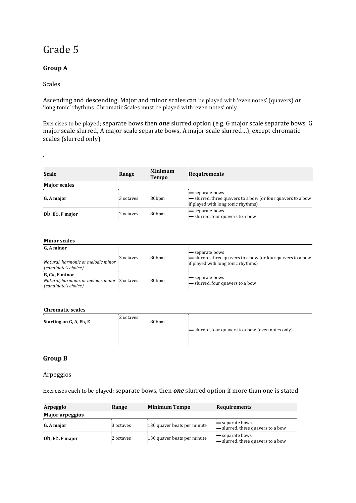## **Group A**

#### Scales

.

Ascending and descending. Major and minor scales can be played with 'even notes' (quavers) *or*  'long tonic' rhythms. Chromatic Scales must be played with 'even notes' only.

Exercises to be played; separate bows then *one* slurred option (e.g. G major scale separate bows, G major scale slurred, A major scale separate bows, A major scale slurred…), except chromatic scales (slurred only).

| Scale               | Range     | <b>Minimum</b><br><b>Tempo</b> | <b>Requirements</b>                                                                                                  |
|---------------------|-----------|--------------------------------|----------------------------------------------------------------------------------------------------------------------|
| <b>Major scales</b> |           |                                |                                                                                                                      |
| G. A major          | 3 octaves | 80 <sub>bpm</sub>              | - separate bows<br>- slurred, three quavers to a bow (or four quavers to a bow<br>if played with long tonic rhythms) |
| Db, Eb, F major     | 2 octaves | 80 <sub>bpm</sub>              | separate bows<br>- slurred, four quavers to a bow                                                                    |

#### **Minor scales**

| G, A minor<br>Natural, harmonic or melodic minor<br>(candidate's choice)               | 3 octaves | 80 <sub>bpm</sub> | separate bows<br>- slurred, three quavers to a bow (or four quavers to a bow<br>if played with long tonic rhythms) |  |
|----------------------------------------------------------------------------------------|-----------|-------------------|--------------------------------------------------------------------------------------------------------------------|--|
| B, C#, E minor<br>Natural, harmonic or melodic minor 2 octaves<br>(candidate's choice) |           | 80 <sub>bpm</sub> | separate bows<br>- slurred, four quavers to a bow                                                                  |  |

#### **Chromatic scales**

| <b>Starting on G. A. Eb. E</b> | 2 octaves | 80 <sub>bpm</sub> |                                                                |
|--------------------------------|-----------|-------------------|----------------------------------------------------------------|
|                                |           |                   | $\rightarrow$ slurred, four quavers to a bow (even notes only) |

#### **Group B**

#### Arpeggios

Exercises each to be played; separate bows, then *one* slurred option if more than one is stated

| Arpeggio               | Range     | <b>Minimum Tempo</b>        | <b>Requirements</b>                                  |
|------------------------|-----------|-----------------------------|------------------------------------------------------|
| <b>Major arpeggios</b> |           |                             |                                                      |
| G. A major             | 3 octaves | 130 quaver beats per minute | — separate bows<br>- slurred, three quavers to a bow |
| Db, Eb, F major        | 2 octaves | 130 quaver beats per minute | separate bows<br>- slurred, three quavers to a bow   |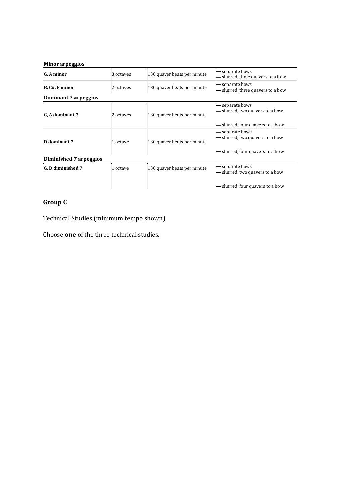#### **Minor arpeggios**

| G. A minor             | 3 octaves | 130 quaver beats per minute | - separate bows<br>- slurred, three quavers to a bow                                          |
|------------------------|-----------|-----------------------------|-----------------------------------------------------------------------------------------------|
| B, C#, E minor         | 2 octaves | 130 quaver beats per minute | - separate bows<br>- slurred, three quavers to a bow                                          |
| Dominant 7 arpeggios   |           |                             |                                                                                               |
| G. A dominant 7        | 2 octaves | 130 quaver beats per minute | <b>—</b> separate bows<br>- slurred, two quavers to a bow<br>- slurred, four quavers to a bow |
| D dominant 7           | 1 octave  | 130 quaver beats per minute | separate bows<br>- slurred, two quavers to a bow<br>- slurred, four quavers to a bow          |
| Diminished 7 arpeggios |           |                             |                                                                                               |
| G, D diminished 7      | 1 octave  | 130 quaver beats per minute | - separate bows<br>- slurred, two quavers to a bow                                            |
|                        |           |                             | - slurred, four quavers to a bow                                                              |

# **Group C**

Technical Studies (minimum tempo shown)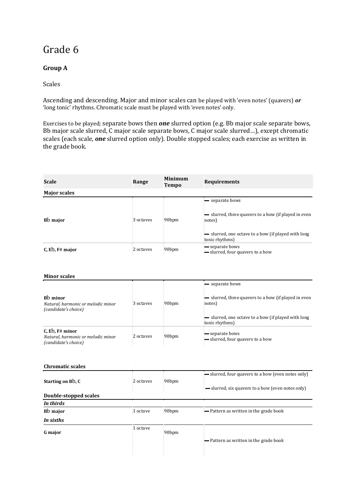# **Group A**

Scales

Ascending and descending. Major and minor scales can be played with 'even notes' (quavers) *or*  'long tonic' rhythms. Chromatic scale must be played with 'even notes' only.

Exercises to be played; separate bows then *one* slurred option (e.g. Bb major scale separate bows, Bb major scale slurred, C major scale separate bows, C major scale slurred…), except chromatic scales (each scale, *one* slurred option only). Double stopped scales; each exercise as written in the grade book.

| <b>Scale</b>                                                                       | Range     | <b>Minimum</b><br><b>Tempo</b> | <b>Requirements</b>                                                               |
|------------------------------------------------------------------------------------|-----------|--------------------------------|-----------------------------------------------------------------------------------|
| <b>Major scales</b>                                                                |           |                                |                                                                                   |
| Bb major                                                                           | 3 octaves | 90 <sub>bpm</sub>              | - separate bows<br>- slurred, three quavers to a bow (if played in even<br>notes) |
|                                                                                    |           |                                | - slurred, one octave to a bow (if played with long<br>tonic rhythms)             |
| $C$ , Eb, F# major                                                                 | 2 octaves | 90 <sub>bpm</sub>              | - separate bows<br>- slurred, four quavers to a bow                               |
| <b>Minor scales</b>                                                                |           |                                | - separate bows                                                                   |
|                                                                                    |           |                                |                                                                                   |
| B <sub>b</sub> minor<br>Natural, harmonic or melodic minor<br>(candidate's choice) | 3 octaves | 90 <sub>bpm</sub>              | - slurred, three quavers to a bow (if played in even<br>notes)                    |
|                                                                                    |           |                                | - slurred, one octave to a bow (if played with long<br>tonic rhythms)             |
| $C$ , Eb, F# minor<br>Natural, harmonic or melodic minor<br>(candidate's choice)   | 2 octaves | 90 <sub>bpm</sub>              | - separate bows<br>- slurred, four quavers to a bow                               |
|                                                                                    |           |                                |                                                                                   |
| <b>Chromatic scales</b>                                                            |           |                                |                                                                                   |
|                                                                                    |           |                                | - slurred, four quavers to a bow (even notes only)                                |

| Starting on Bb, C     | 2 octaves | 90 <sub>bpm</sub> | - slurred, four quavers to a bow (even notes only) |
|-----------------------|-----------|-------------------|----------------------------------------------------|
|                       |           |                   | - slurred, six quavers to a bow (even notes only)  |
| Double-stopped scales |           |                   |                                                    |
| In thirds             |           |                   |                                                    |
| Bb major              | 1 octave  | 90 <sub>bpm</sub> | - Pattern as written in the grade book             |
| In sixths             |           |                   |                                                    |
| <b>G</b> major        | 1 octave  | 90 <sub>bpm</sub> |                                                    |
|                       |           |                   | - Pattern as written in the grade book             |
|                       |           |                   |                                                    |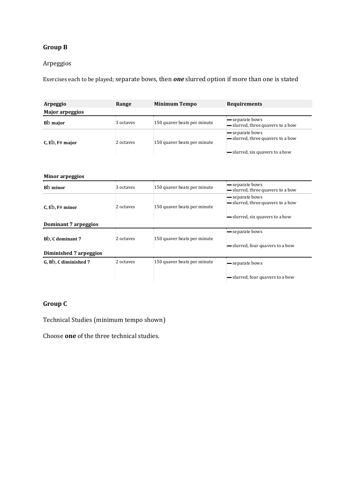# **Group B**

### Arpeggios

Exercises each to be played; separate bows, then *one* slurred option if more than one is stated

| Arpeggio               | Range     | <b>Minimum Tempo</b>        | <b>Requirements</b>                                                                     |
|------------------------|-----------|-----------------------------|-----------------------------------------------------------------------------------------|
| <b>Major arpeggios</b> |           |                             |                                                                                         |
| B <sub>b</sub> major   | 3 octaves | 150 quaver beats per minute | - separate bows<br>- slurred, three quavers to a bow                                    |
| $C$ , Eb, F# major     | 2 octaves | 150 quaver beats per minute | - separate bows<br>- slurred, three quavers to a bow<br>- slurred, six quavers to a bow |

| <b>Minor arpeggios</b>        |           |                             |                                                                                       |
|-------------------------------|-----------|-----------------------------|---------------------------------------------------------------------------------------|
| B <sub>b</sub> minor          | 3 octaves | 150 quaver beats per minute | separate bows<br>- slurred, three quavers to a bow                                    |
| $C$ , Eb, F# minor            | 2 octaves | 150 quaver beats per minute | separate bows<br>- slurred, three quavers to a bow<br>- slurred, six quavers to a bow |
| Dominant 7 arpeggios          |           |                             |                                                                                       |
|                               |           |                             | separate bows                                                                         |
| B <sub>b</sub> , C dominant 7 | 2 octaves | 150 quaver beats per minute |                                                                                       |

| BD, C dominant 7       | z octaves | 150 quavel beats bel illillute | - slurred, four quavers to a bow |
|------------------------|-----------|--------------------------------|----------------------------------|
| Diminished 7 arpeggios |           |                                |                                  |
| G, Bb, C diminished 7  | 2 octaves | 150 quaver beats per minute    | <b>—</b> separate bows           |
|                        |           |                                | - slurred, four quavers to a bow |

## **Group C**

Technical Studies (minimum tempo shown)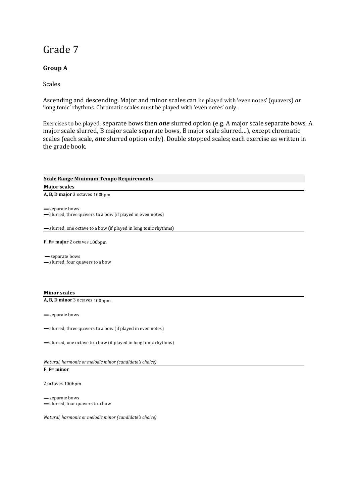## **Group A**

Scales

Ascending and descending. Major and minor scales can be played with 'even notes' (quavers) *or*  'long tonic' rhythms. Chromatic scales must be played with 'even notes' only.

Exercises to be played; separate bows then *one* slurred option (e.g. A major scale separate bows, A major scale slurred, B major scale separate bows, B major scale slurred…), except chromatic scales (each scale, *one* slurred option only). Double stopped scales; each exercise as written in the grade book.

| <b>Scale Range Minimum Tempo Requirements</b>                                  |
|--------------------------------------------------------------------------------|
| <b>Major scales</b>                                                            |
| A, B, D major 3 octaves 100bpm                                                 |
| - separate bows<br>- slurred, three quavers to a bow (if played in even notes) |
| - slurred, one octave to a bow (if played in long tonic rhythms)               |
| F, F# major 2 octaves 100bpm                                                   |
| - separate bows<br>- slurred, four quavers to a bow                            |
| <b>Minor scales</b>                                                            |
| A, B, D minor 3 octaves 100bpm                                                 |
| - separate bows                                                                |
| - slurred, three quavers to a bow (if played in even notes)                    |
| - slurred, one octave to a bow (if played in long tonic rhythms)               |
| Natural, harmonic or melodic minor (candidate's choice)                        |
| F, F# minor                                                                    |
| 2 octaves 100bpm                                                               |

▬ separate bows ▬ slurred, four quavers to a bow

*Natural, harmonic or melodic minor (candidate's choice)*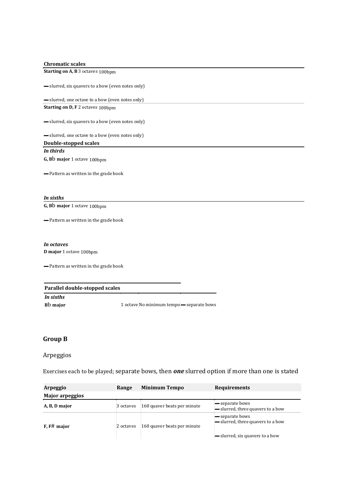#### **Chromatic scales**

**Starting on A, B** 3 octaves 100bpm

▬ slurred, six quavers to a bow (even notes only)

▬ slurred, one octave to a bow (even notes only) **Starting on D, F** 2 octaves 100bpm

▬ slurred, six quavers to a bow (even notes only)

▬ slurred, one octave to a bow (even notes only)

**Double-stopped scales**  *In thirds* 

**G, B**b **major** 1 octave 100bpm

▬ Pattern as written in the grade book

*In sixths*  **G, B**b **major** 1 octave 100bpm

▬ Pattern as written in the grade book

#### *In octaves*

**D major** 1 octave 100bpm

▬ Pattern as written in the grade book

| Parallel double-stopped scales |  |                                           |  |  |
|--------------------------------|--|-------------------------------------------|--|--|
| In sixths                      |  |                                           |  |  |
| Bb major                       |  | 1 octave No minimum tempo - separate bows |  |  |

### **Group B**

#### Arpeggios

Exercises each to be played; separate bows, then *one* slurred option if more than one is stated

| Arpeggio               | Range     | <b>Minimum Tempo</b>        | <b>Requirements</b>                                         |
|------------------------|-----------|-----------------------------|-------------------------------------------------------------|
| <b>Major arpeggios</b> |           |                             |                                                             |
| A, B, D major          | 3 octaves | 160 quaver beats per minute | <b>-</b> separate bows<br>- slurred, three quavers to a bow |
| $F$ , $F#$ major       | 2 octaves | 160 quaver beats per minute | separate bows<br>- slurred, three quavers to a bow          |
|                        |           |                             | — slurred, six quavers to a bow                             |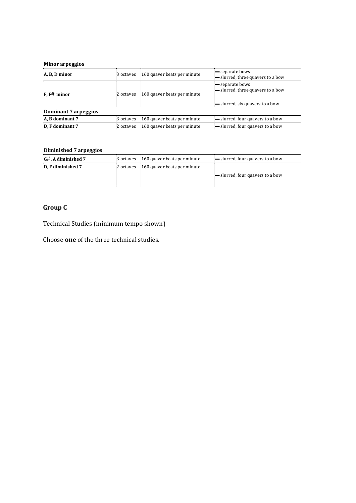#### **Minor arpeggios**

| 3 octaves | 160 quaver beats per minute | separate bows<br>- slurred, three quavers to a bow                                    |
|-----------|-----------------------------|---------------------------------------------------------------------------------------|
| 2 octaves | 160 quaver beats per minute | separate bows<br>- slurred, three quavers to a bow<br>- slurred, six quavers to a bow |
|           |                             |                                                                                       |
| 3 octaves | 160 quaver beats per minute | - slurred, four quavers to a bow                                                      |
| 2 octaves | 160 quaver beats per minute | - slurred, four quavers to a bow                                                      |
|           |                             |                                                                                       |

#### **Diminished 7 arpeggios**

| <b>Diminished</b> / arpeggios |           |                                       |                                  |
|-------------------------------|-----------|---------------------------------------|----------------------------------|
| G#, A diminished 7            |           | 3 octaves 160 quaver beats per minute | - slurred, four quavers to a bow |
| D. F diminished 7             | 2 octaves | 160 quaver beats per minute           |                                  |
|                               |           |                                       | - slurred, four quavers to a bow |
|                               |           |                                       |                                  |

# **Group C**

Technical Studies (minimum tempo shown)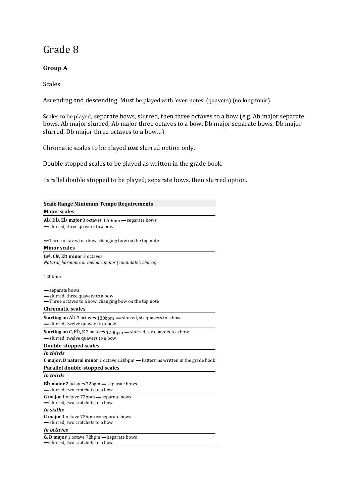## **Group A**

Scales

Ascending and descending. Must be played with 'even notes' (quavers) (no long tonic).

Scales to be played; separate bows, slurred, then three octaves to a bow (e.g. Ab major separate bows, Ab major slurred, Ab major three octaves to a bow, Db major separate bows, Db major slurred, Db major three octaves to a bow…).

Chromatic scales to be played *one* slurred option only.

Double stopped scales to be played as written in the grade book.

Parallel double stopped to be played; separate bows, then slurred option.

| <b>Scale Range Minimum Tempo Requirements</b>                                                                        |
|----------------------------------------------------------------------------------------------------------------------|
| <b>Major scales</b>                                                                                                  |
| Ab, Db, Eb major 3 octaves $120$ bpm $-$ separate bows<br>- slurred, three quavers to a bow                          |
| -Three octaves to a bow, changing bow on the top note                                                                |
| <b>Minor scales</b>                                                                                                  |
| $G#, C#, E$ minor 3 octaves<br>Natural, harmonic or melodic minor (candidate's choice)                               |
| 120bpm                                                                                                               |
| — separate bows                                                                                                      |
| - slurred, three quavers to a bow                                                                                    |
| -Three octaves to a bow, changing bow on the top note                                                                |
| <b>Chromatic scales</b>                                                                                              |
| Starting on Ab 3 octaves 120bpm - slurred, six quavers to a bow<br>- slurred, twelve quavers to a bow                |
| <b>Starting on C, Eb, E</b> 2 octaves $120bpm$ – slurred, six quavers to a bow<br>- slurred, twelve quavers to a bow |
| Double-stopped scales                                                                                                |
| In thirds                                                                                                            |
| <b>C</b> major, <b>D</b> natural minor 1 octave 120bpm — Pattern as written in the grade book                        |
| Parallel double-stopped scales                                                                                       |
| In thirds                                                                                                            |
| <b>Bb major</b> 2 octaves 72bpm — separate bows<br>- slurred, two crotchets to a bow                                 |
| <b>G major</b> 1 octave 72bpm — separate bows<br>- slurred, two crotchets to a bow                                   |
| In sixths                                                                                                            |
| <b>G major</b> 1 octave 72bpm — separate bows<br>- slurred, two crotchets to a bow                                   |
| In octaves                                                                                                           |
| G, D major 1 octave 72bpm - separate bows                                                                            |

▬ slurred, two crotchets to a bow